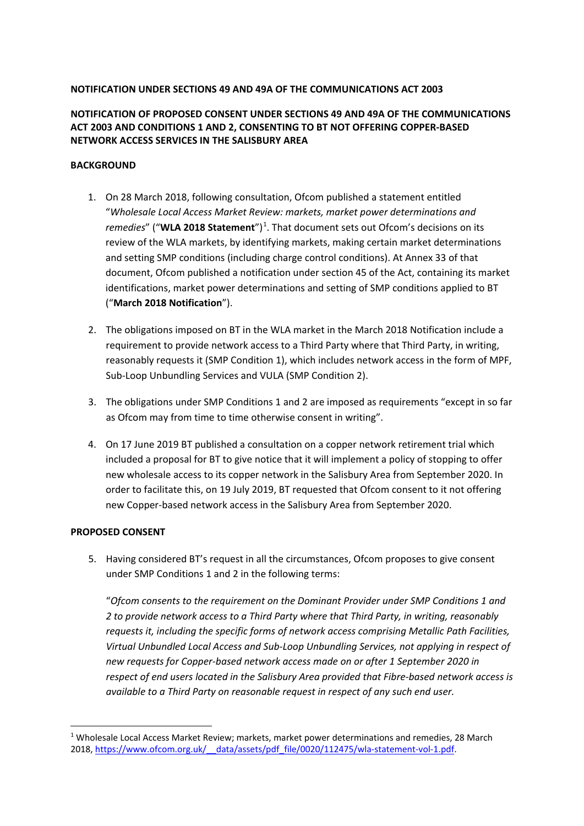## **NOTIFICATION UNDER SECTIONS 49 AND 49A OF THE COMMUNICATIONS ACT 2003**

# **NOTIFICATION OF PROPOSED CONSENT UNDER SECTIONS 49 AND 49A OF THE COMMUNICATIONS ACT 2003 AND CONDITIONS 1 AND 2, CONSENTING TO BT NOT OFFERING COPPER-BASED NETWORK ACCESS SERVICES IN THE SALISBURY AREA**

### **BACKGROUND**

- 1. On 28 March 2018, following consultation, Ofcom published a statement entitled "*Wholesale Local Access Market Review: markets, market power determinations and*  remedies" ("WLA 20[1](#page-0-0)8 Statement")<sup>1</sup>. That document sets out Ofcom's decisions on its review of the WLA markets, by identifying markets, making certain market determinations and setting SMP conditions (including charge control conditions). At Annex 33 of that document, Ofcom published a notification under section 45 of the Act, containing its market identifications, market power determinations and setting of SMP conditions applied to BT ("**March 2018 Notification**").
- 2. The obligations imposed on BT in the WLA market in the March 2018 Notification include a requirement to provide network access to a Third Party where that Third Party, in writing, reasonably requests it (SMP Condition 1), which includes network access in the form of MPF, Sub-Loop Unbundling Services and VULA (SMP Condition 2).
- 3. The obligations under SMP Conditions 1 and 2 are imposed as requirements "except in so far as Ofcom may from time to time otherwise consent in writing".
- 4. On 17 June 2019 BT published a consultation on a copper network retirement trial which included a proposal for BT to give notice that it will implement a policy of stopping to offer new wholesale access to its copper network in the Salisbury Area from September 2020. In order to facilitate this, on 19 July 2019, BT requested that Ofcom consent to it not offering new Copper-based network access in the Salisbury Area from September 2020.

#### **PROPOSED CONSENT**

5. Having considered BT's request in all the circumstances, Ofcom proposes to give consent under SMP Conditions 1 and 2 in the following terms:

"*Ofcom consents to the requirement on the Dominant Provider under SMP Conditions 1 and 2 to provide network access to a Third Party where that Third Party, in writing, reasonably requests it, including the specific forms of network access comprising Metallic Path Facilities, Virtual Unbundled Local Access and Sub-Loop Unbundling Services, not applying in respect of new requests for Copper-based network access made on or after 1 September 2020 in respect of end users located in the Salisbury Area provided that Fibre-based network access is available to a Third Party on reasonable request in respect of any such end user.*

<span id="page-0-0"></span><sup>&</sup>lt;sup>1</sup> Wholesale Local Access Market Review; markets, market power determinations and remedies, 28 March 2018, [https://www.ofcom.org.uk/\\_\\_data/assets/pdf\\_file/0020/112475/wla-statement-vol-1.pdf.](https://www.ofcom.org.uk/__data/assets/pdf_file/0020/112475/wla-statement-vol-1.pdf)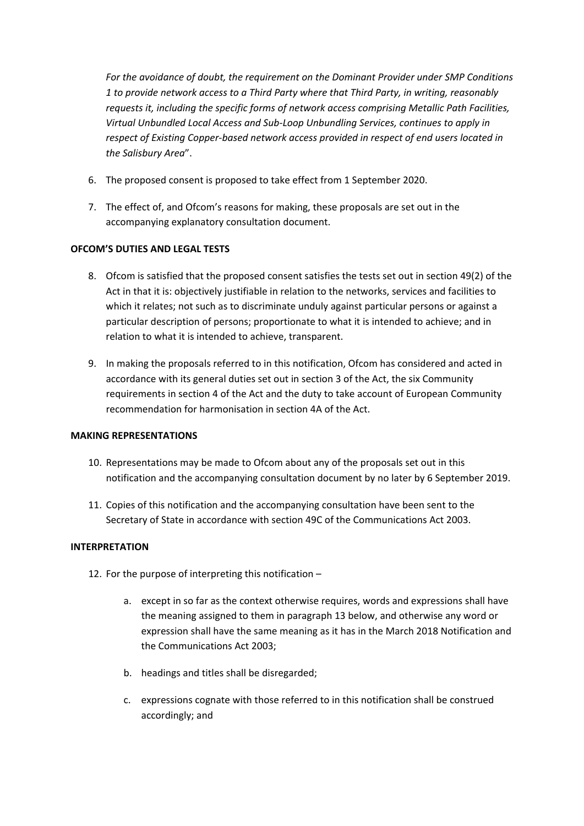*For the avoidance of doubt, the requirement on the Dominant Provider under SMP Conditions 1 to provide network access to a Third Party where that Third Party, in writing, reasonably requests it, including the specific forms of network access comprising Metallic Path Facilities, Virtual Unbundled Local Access and Sub-Loop Unbundling Services, continues to apply in respect of Existing Copper-based network access provided in respect of end users located in the Salisbury Area*".

- 6. The proposed consent is proposed to take effect from 1 September 2020.
- 7. The effect of, and Ofcom's reasons for making, these proposals are set out in the accompanying explanatory consultation document.

#### **OFCOM'S DUTIES AND LEGAL TESTS**

- 8. Ofcom is satisfied that the proposed consent satisfies the tests set out in section 49(2) of the Act in that it is: objectively justifiable in relation to the networks, services and facilities to which it relates; not such as to discriminate unduly against particular persons or against a particular description of persons; proportionate to what it is intended to achieve; and in relation to what it is intended to achieve, transparent.
- 9. In making the proposals referred to in this notification, Ofcom has considered and acted in accordance with its general duties set out in section 3 of the Act, the six Community requirements in section 4 of the Act and the duty to take account of European Community recommendation for harmonisation in section 4A of the Act.

#### **MAKING REPRESENTATIONS**

- 10. Representations may be made to Ofcom about any of the proposals set out in this notification and the accompanying consultation document by no later by 6 September 2019.
- 11. Copies of this notification and the accompanying consultation have been sent to the Secretary of State in accordance with section 49C of the Communications Act 2003.

#### **INTERPRETATION**

- 12. For the purpose of interpreting this notification
	- a. except in so far as the context otherwise requires, words and expressions shall have the meaning assigned to them in paragraph 13 below, and otherwise any word or expression shall have the same meaning as it has in the March 2018 Notification and the Communications Act 2003;
	- b. headings and titles shall be disregarded;
	- c. expressions cognate with those referred to in this notification shall be construed accordingly; and